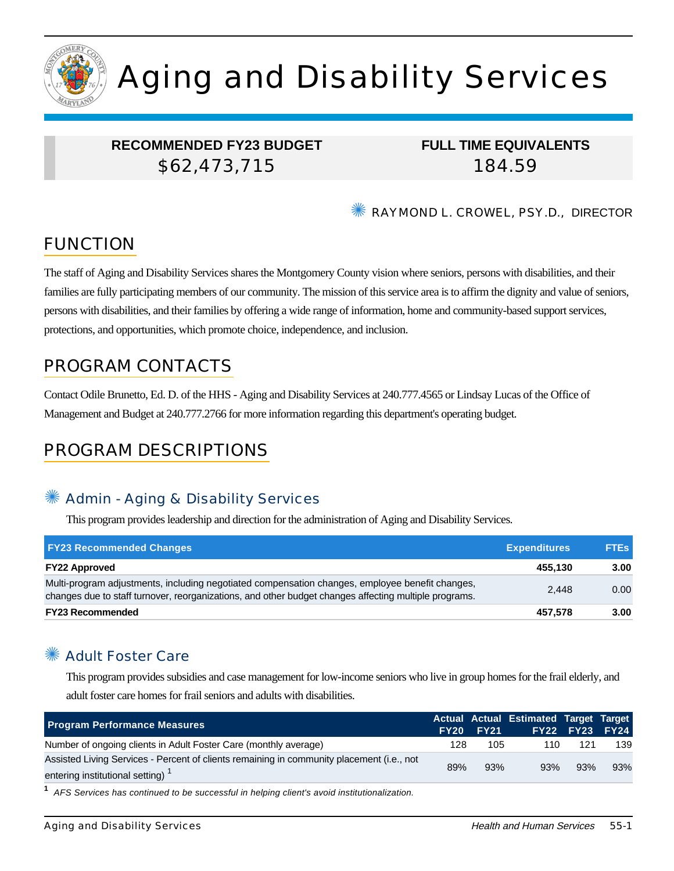

# Aging and Disability Services

## **RECOMMENDED FY23 BUDGET** \$62,473,715

**FULL TIME EQUIVALENTS** 184.59

✺ RAYMOND L. CROWEL, PSY.D., DIRECTOR

# FUNCTION

The staff of Aging and Disability Services shares the Montgomery County vision where seniors, persons with disabilities, and their families are fully participating members of our community. The mission of this service area is to affirm the dignity and value of seniors, persons with disabilities, and their families by offering a wide range of information, home and community-based support services, protections, and opportunities, which promote choice, independence, and inclusion.

# PROGRAM CONTACTS

Contact Odile Brunetto, Ed. D. of the HHS - Aging and Disability Services at 240.777.4565 or Lindsay Lucas of the Office of Management and Budget at 240.777.2766 for more information regarding this department's operating budget.

# PROGRAM DESCRIPTIONS

## Admin - Aging & Disability Services

This program provides leadership and direction for the administration of Aging and Disability Services.

| <b>FY23 Recommended Changes</b>                                                                                                                                                                          | <b>Expenditures</b> | <b>FTEs</b> |
|----------------------------------------------------------------------------------------------------------------------------------------------------------------------------------------------------------|---------------------|-------------|
| <b>FY22 Approved</b>                                                                                                                                                                                     | 455.130             | 3.00        |
| Multi-program adjustments, including negotiated compensation changes, employee benefit changes,<br>changes due to staff turnover, reorganizations, and other budget changes affecting multiple programs. | 2.448               | 0.00        |
| <b>FY23 Recommended</b>                                                                                                                                                                                  | 457.578             | 3.00        |

# ✺ Adult Foster Care

This program provides subsidies and case management for low-income seniors who live in group homes for the frail elderly, and adult foster care homes for frail seniors and adults with disabilities.

| <b>Program Performance Measures</b>                                                                                                       |     | <b>FY20 FY21</b> | Actual Actual Estimated Target Target |     | <b>FY22 FY23 FY24</b> |
|-------------------------------------------------------------------------------------------------------------------------------------------|-----|------------------|---------------------------------------|-----|-----------------------|
| Number of ongoing clients in Adult Foster Care (monthly average)                                                                          | 128 | 105              | 110                                   | 121 | 139                   |
| Assisted Living Services - Percent of clients remaining in community placement (i.e., not<br>entering institutional setting) <sup>1</sup> | 89% | 93%              | 93%                                   | 93% | 93%                   |

**1** AFS Services has continued to be successful in helping client's avoid institutionalization.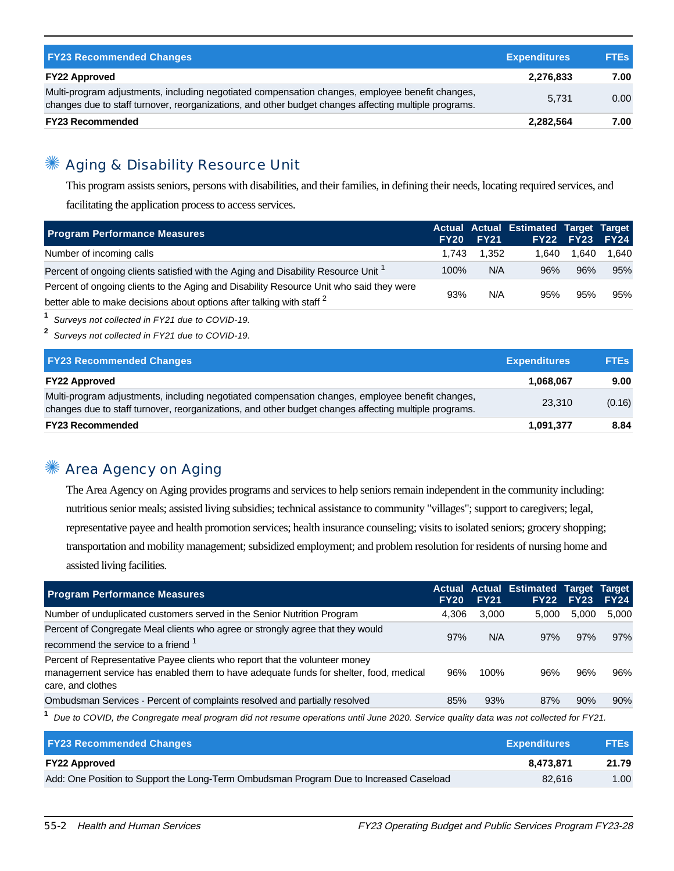| <b>FY23 Recommended Changes</b>                                                                                                                                                                          | <b>Expenditures</b> | <b>FTES</b> |
|----------------------------------------------------------------------------------------------------------------------------------------------------------------------------------------------------------|---------------------|-------------|
| <b>FY22 Approved</b>                                                                                                                                                                                     | 2,276,833           | 7.00        |
| Multi-program adjustments, including negotiated compensation changes, employee benefit changes,<br>changes due to staff turnover, reorganizations, and other budget changes affecting multiple programs. | 5.731               | 0.00        |
| <b>FY23 Recommended</b>                                                                                                                                                                                  | 2,282,564           | 7.00        |

## ✺ Aging & Disability Resource Unit

This program assists seniors, persons with disabilities, and their families, in defining their needs, locating required services, and

facilitating the application process to access services.

| <b>Program Performance Measures</b>                                                           |       | <b>FY20 FY21</b> | Actual Actual Estimated Target Target | FY22 FY23 FY24 |       |
|-----------------------------------------------------------------------------------------------|-------|------------------|---------------------------------------|----------------|-------|
| Number of incoming calls                                                                      | 1.743 | 1.352            | 1.640                                 | 1.640          | 1.640 |
| Percent of ongoing clients satisfied with the Aging and Disability Resource Unit <sup>1</sup> | 100%  | N/A              | 96%                                   | 96%            | 95%   |
| Percent of ongoing clients to the Aging and Disability Resource Unit who said they were       | 93%   | N/A              | 95%                                   | 95%            | 95%   |
| better able to make decisions about options after talking with staff <sup>2</sup>             |       |                  |                                       |                |       |

**1** Surveys not collected in FY21 due to COVID-19.

**2** Surveys not collected in FY21 due to COVID-19.

| <b>FY23 Recommended Changes</b>                                                                                                                                                                          | <b>Expenditures</b> | <b>FTEs</b> |
|----------------------------------------------------------------------------------------------------------------------------------------------------------------------------------------------------------|---------------------|-------------|
| <b>FY22 Approved</b>                                                                                                                                                                                     | 1,068,067           | 9.00        |
| Multi-program adjustments, including negotiated compensation changes, employee benefit changes,<br>changes due to staff turnover, reorganizations, and other budget changes affecting multiple programs. | 23.310              | (0.16)      |
| <b>FY23 Recommended</b>                                                                                                                                                                                  | 1,091,377           | 8.84        |

## ✺ Area Agency on Aging

The Area Agency on Aging provides programs and services to help seniors remain independent in the community including: nutritious senior meals; assisted living subsidies; technical assistance to community "villages"; support to caregivers; legal, representative payee and health promotion services; health insurance counseling; visits to isolated seniors; grocery shopping; transportation and mobility management; subsidized employment; and problem resolution for residents of nursing home and assisted living facilities.

| <b>Program Performance Measures</b>                                                                                                                                                       | <b>FY20</b> | <b>FY21</b> | Actual Actual Estimated Target Target | <b>FY22 FY23</b> | <b>FY24</b> |
|-------------------------------------------------------------------------------------------------------------------------------------------------------------------------------------------|-------------|-------------|---------------------------------------|------------------|-------------|
| Number of unduplicated customers served in the Senior Nutrition Program                                                                                                                   | 4.306       | 3,000       | 5.000                                 | 5.000            | 5.000       |
| Percent of Congregate Meal clients who agree or strongly agree that they would<br>recommend the service to a friend <sup>1</sup>                                                          | 97%         | N/A         | 97%                                   | 97%              | 97%         |
| Percent of Representative Payee clients who report that the volunteer money<br>management service has enabled them to have adequate funds for shelter, food, medical<br>care, and clothes | 96%         | 100%        | 96%                                   | 96%              | 96%         |
| Ombudsman Services - Percent of complaints resolved and partially resolved                                                                                                                | 85%         | 93%         | 87%                                   | 90%              | 90%         |

**1** Due to COVID, the Congregate meal program did not resume operations until June 2020. Service quality data was not collected for FY21.

| <b>FY23 Recommended Changes</b>                                                        | <b>Expenditures</b> | <b>FTEs</b> |
|----------------------------------------------------------------------------------------|---------------------|-------------|
| <b>FY22 Approved</b>                                                                   | 8.473.871           | 21.79       |
| Add: One Position to Support the Long-Term Ombudsman Program Due to Increased Caseload | 82.616              | 1.00        |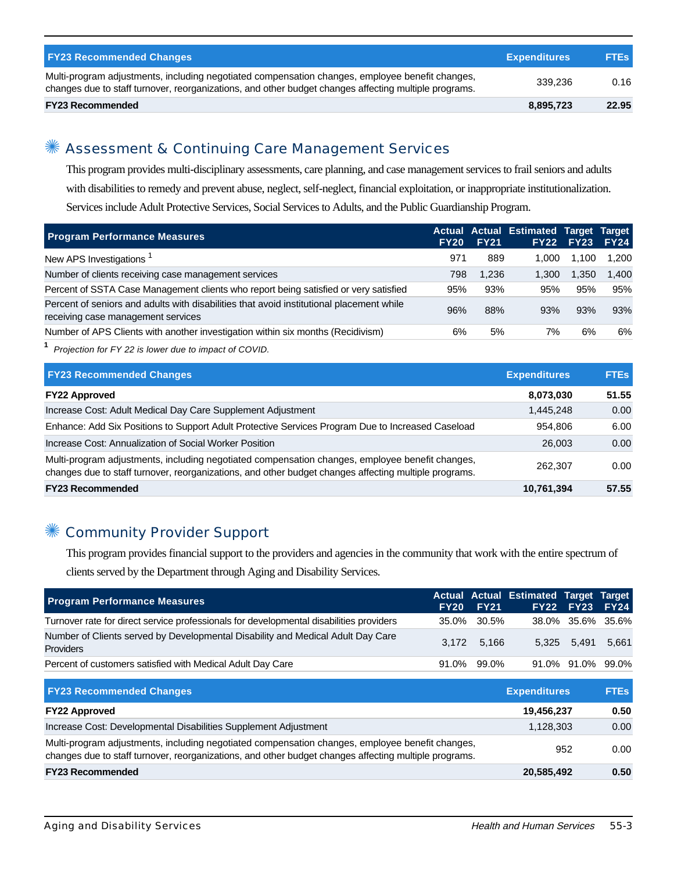| <b>FY23 Recommended Changes</b>                                                                                                                                                                          | <b>Expenditures</b> | <b>FTEs</b> |
|----------------------------------------------------------------------------------------------------------------------------------------------------------------------------------------------------------|---------------------|-------------|
| Multi-program adjustments, including negotiated compensation changes, employee benefit changes,<br>changes due to staff turnover, reorganizations, and other budget changes affecting multiple programs. | 339.236             | 0.16        |
| <b>FY23 Recommended</b>                                                                                                                                                                                  | 8,895,723           | 22.95       |

## ✺ Assessment & Continuing Care Management Services

This program provides multi-disciplinary assessments, care planning, and case management services to frail seniors and adults with disabilities to remedy and prevent abuse, neglect, self-neglect, financial exploitation, or inappropriate institutionalization. Services include Adult Protective Services, Social Services to Adults, and the Public Guardianship Program.

| <b>Program Performance Measures</b>                                                                                            | <b>FY20</b> | <b>FY21</b> | Actual Actual Estimated Target Target | <b>FY22 FY23</b> | <b>FY24</b> |
|--------------------------------------------------------------------------------------------------------------------------------|-------------|-------------|---------------------------------------|------------------|-------------|
| New APS Investigations <sup>1</sup>                                                                                            | 971         | 889         | 1.000                                 | 1.100            | 1.200       |
| Number of clients receiving case management services                                                                           | 798         | 1.236       | 1.300                                 | 1.350            | 1.400       |
| Percent of SSTA Case Management clients who report being satisfied or very satisfied                                           | 95%         | 93%         | 95%                                   | 95%              | 95%         |
| Percent of seniors and adults with disabilities that avoid institutional placement while<br>receiving case management services | 96%         | 88%         | 93%                                   | 93%              | 93%         |
| Number of APS Clients with another investigation within six months (Recidivism)                                                | 6%          | 5%          | 7%                                    | 6%               | 6%          |

**1** Projection for FY 22 is lower due to impact of COVID.

| <b>FY23 Recommended Changes</b>                                                                                                                                                                          | <b>Expenditures</b> | <b>FTEs</b> |
|----------------------------------------------------------------------------------------------------------------------------------------------------------------------------------------------------------|---------------------|-------------|
| <b>FY22 Approved</b>                                                                                                                                                                                     | 8,073,030           | 51.55       |
| Increase Cost: Adult Medical Day Care Supplement Adjustment                                                                                                                                              | 1,445,248           | 0.00        |
| Enhance: Add Six Positions to Support Adult Protective Services Program Due to Increased Caseload                                                                                                        | 954.806             | 6.00        |
| Increase Cost: Annualization of Social Worker Position                                                                                                                                                   | 26,003              | 0.00        |
| Multi-program adjustments, including negotiated compensation changes, employee benefit changes,<br>changes due to staff turnover, reorganizations, and other budget changes affecting multiple programs. | 262,307             | 0.00        |
| <b>FY23 Recommended</b>                                                                                                                                                                                  | 10,761,394          | 57.55       |

#### ✺ Community Provider Support

This program provides financial support to the providers and agencies in the community that work with the entire spectrum of clients served by the Department through Aging and Disability Services.

|  | <b>FY20 FY21</b> | 35.0% 30.5%<br>3.172 5.166<br>91.0% 99.0% | Actual Actual Estimated Target Target<br>FY22 FY23 FY24<br>38.0% 35.6% 35.6%<br>5,325 5,491 5,661<br>91.0% 91.0% 99.0% |
|--|------------------|-------------------------------------------|------------------------------------------------------------------------------------------------------------------------|

| <b>FY23 Recommended Changes</b>                                                                                                                                                                          | <b>Expenditures</b> | <b>FTEs</b> |
|----------------------------------------------------------------------------------------------------------------------------------------------------------------------------------------------------------|---------------------|-------------|
| <b>FY22 Approved</b>                                                                                                                                                                                     | 19,456,237          | 0.50        |
| Increase Cost: Developmental Disabilities Supplement Adjustment                                                                                                                                          | 1,128,303           | 0.00        |
| Multi-program adjustments, including negotiated compensation changes, employee benefit changes,<br>changes due to staff turnover, reorganizations, and other budget changes affecting multiple programs. | 952                 | 0.00        |
| <b>FY23 Recommended</b>                                                                                                                                                                                  | 20,585,492          | 0.50        |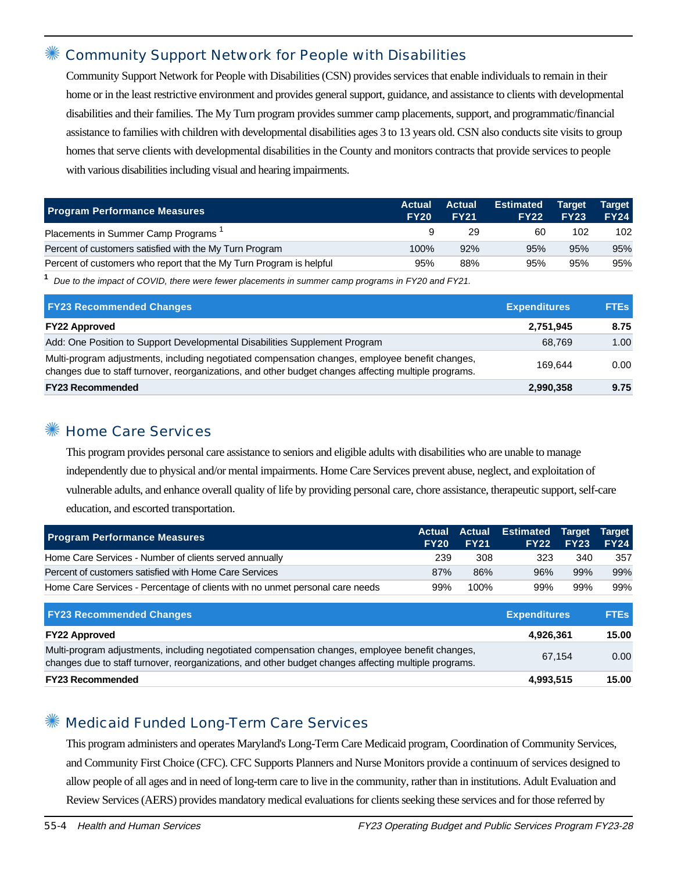#### Community Support Network for People with Disabilities

Community Support Network for People with Disabilities (CSN) provides services that enable individuals to remain in their home or in the least restrictive environment and provides general support, guidance, and assistance to clients with developmental disabilities and their families. The My Turn program provides summer camp placements, support, and programmatic/financial assistance to families with children with developmental disabilities ages 3 to 13 years old. CSN also conducts site visits to group homes that serve clients with developmental disabilities in the County and monitors contracts that provide services to people with various disabilities including visual and hearing impairments.

| <b>Program Performance Measures</b>                                 | <b>Actual</b><br><b>FY20</b> | <b>Actual</b><br><b>FY21</b> | <b>Estimated</b><br><b>FY22</b> | <b>Target</b><br><b>FY23</b> | <b>Target</b><br><b>FY24</b> |
|---------------------------------------------------------------------|------------------------------|------------------------------|---------------------------------|------------------------------|------------------------------|
| Placements in Summer Camp Programs <sup>1</sup>                     |                              | 29                           | 60                              | 102                          | 102                          |
| Percent of customers satisfied with the My Turn Program             | 100%                         | 92%                          | 95%                             | 95%                          | 95%                          |
| Percent of customers who report that the My Turn Program is helpful | 95%                          | 88%                          | 95%                             | 95%                          | 95%                          |

**1** Due to the impact of COVID, there were fewer placements in summer camp programs in FY20 and FY21.

| <b>FY23 Recommended Changes</b>                                                                                                                                                                          | <b>Expenditures</b> | <b>FTEs</b> |
|----------------------------------------------------------------------------------------------------------------------------------------------------------------------------------------------------------|---------------------|-------------|
| <b>FY22 Approved</b>                                                                                                                                                                                     | 2,751,945           | 8.75        |
| Add: One Position to Support Developmental Disabilities Supplement Program                                                                                                                               | 68.769              | 1.00        |
| Multi-program adjustments, including negotiated compensation changes, employee benefit changes,<br>changes due to staff turnover, reorganizations, and other budget changes affecting multiple programs. | 169.644             | 0.00        |
| <b>FY23 Recommended</b>                                                                                                                                                                                  | 2,990,358           | 9.75        |

#### ✺ Home Care Services

This program provides personal care assistance to seniors and eligible adults with disabilities who are unable to manage independently due to physical and/or mental impairments. Home Care Services prevent abuse, neglect, and exploitation of vulnerable adults, and enhance overall quality of life by providing personal care, chore assistance, therapeutic support, self-care education, and escorted transportation.

| <b>Program Performance Measures</b>                                          | <b>FY20</b> | <b>Actual Actual</b><br><b>FY21</b> | <b>Estimated Target Target</b><br>FY22 | <b>FY23</b> | <b>FY24</b> |
|------------------------------------------------------------------------------|-------------|-------------------------------------|----------------------------------------|-------------|-------------|
| Home Care Services - Number of clients served annually                       | 239         | 308                                 | 323                                    | 340         | 357         |
| Percent of customers satisfied with Home Care Services                       | 87%         | 86%                                 | 96%                                    | 99%         | 99%         |
| Home Care Services - Percentage of clients with no unmet personal care needs | 99%         | 100%                                | 99%                                    | 99%         | 99%         |

| <b>FY23 Recommended Changes</b>                                                                                                                                                                          | <b>Expenditures</b> | <b>FTEs</b> |
|----------------------------------------------------------------------------------------------------------------------------------------------------------------------------------------------------------|---------------------|-------------|
| <b>FY22 Approved</b>                                                                                                                                                                                     | 4,926,361           | 15.00       |
| Multi-program adjustments, including negotiated compensation changes, employee benefit changes,<br>changes due to staff turnover, reorganizations, and other budget changes affecting multiple programs. | 67.154              | 0.00        |
| <b>FY23 Recommended</b>                                                                                                                                                                                  | 4,993,515           | 15.00       |

#### ✺ Medicaid Funded Long-Term Care Services

This program administers and operates Maryland's Long-Term Care Medicaid program, Coordination of Community Services, and Community First Choice (CFC). CFC Supports Planners and Nurse Monitors provide a continuum of services designed to allow people of all ages and in need of long-term care to live in the community, rather than in institutions. Adult Evaluation and Review Services (AERS) provides mandatory medical evaluations for clients seeking these services and for those referred by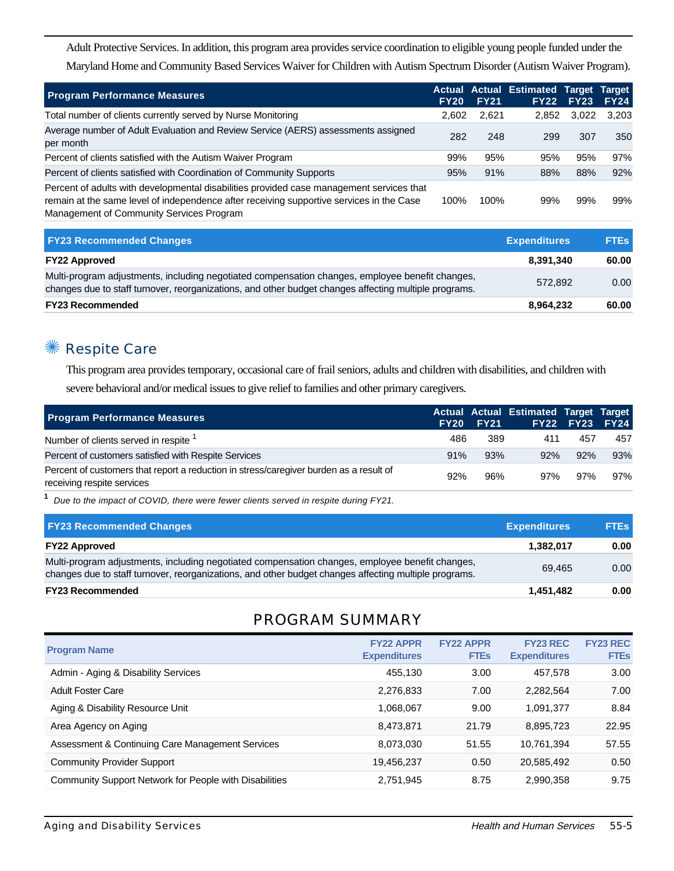Adult Protective Services. In addition, this program area provides service coordination to eligible young people funded under the Maryland Home and Community Based Services Waiver for Children with Autism Spectrum Disorder (Autism Waiver Program).

| <b>Program Performance Measures</b>                                                                                                                                                                                              | <b>FY20</b> | <b>FY21</b> | <b>Actual Actual Estimated Target</b> | <b>FY22 FY23</b> | Target<br><b>FY24</b> |
|----------------------------------------------------------------------------------------------------------------------------------------------------------------------------------------------------------------------------------|-------------|-------------|---------------------------------------|------------------|-----------------------|
| Total number of clients currently served by Nurse Monitoring                                                                                                                                                                     | 2,602       | 2,621       | 2.852                                 | 3,022            | 3,203                 |
| Average number of Adult Evaluation and Review Service (AERS) assessments assigned<br>per month                                                                                                                                   | 282         | 248         | 299                                   | 307              | 350                   |
| Percent of clients satisfied with the Autism Waiver Program                                                                                                                                                                      | 99%         | 95%         | 95%                                   | 95%              | 97%                   |
| Percent of clients satisfied with Coordination of Community Supports                                                                                                                                                             | 95%         | 91%         | 88%                                   | 88%              | 92%                   |
| Percent of adults with developmental disabilities provided case management services that<br>remain at the same level of independence after receiving supportive services in the Case<br>Management of Community Services Program | 100%        | 100%        | 99%                                   | 99%              | 99%                   |

| <b>FY23 Recommended Changes</b>                                                                                                                                                                          | <b>Expenditures</b> | <b>FTEs</b> |
|----------------------------------------------------------------------------------------------------------------------------------------------------------------------------------------------------------|---------------------|-------------|
| <b>FY22 Approved</b>                                                                                                                                                                                     | 8.391.340           | 60.00       |
| Multi-program adjustments, including negotiated compensation changes, employee benefit changes,<br>changes due to staff turnover, reorganizations, and other budget changes affecting multiple programs. | 572.892             | 0.00        |
| <b>FY23 Recommended</b>                                                                                                                                                                                  | 8,964,232           | 60.00       |

## ✺ Respite Care

This program area provides temporary, occasional care of frail seniors, adults and children with disabilities, and children with severe behavioral and/or medical issues to give relief to families and other primary caregivers.

| <b>Program Performance Measures</b>                                                                                  |     | <b>FY20 FY21</b> | Actual Actual Estimated Target Target | <b>FY22 FY23 FY24</b> |     |
|----------------------------------------------------------------------------------------------------------------------|-----|------------------|---------------------------------------|-----------------------|-----|
| Number of clients served in respite <sup>1</sup>                                                                     | 486 | 389              | 411                                   | 457                   | 457 |
| Percent of customers satisfied with Respite Services                                                                 | 91% | 93%              | 92%                                   | 92%                   | 93% |
| Percent of customers that report a reduction in stress/caregiver burden as a result of<br>receiving respite services | 92% | 96%              | 97%                                   | 97%                   | 97% |

**1** Due to the impact of COVID, there were fewer clients served in respite during FY21.

| <b>FY23 Recommended Changes</b>                                                                                                                                                                          | <b>Expenditures</b> | <b>FTEs</b> |
|----------------------------------------------------------------------------------------------------------------------------------------------------------------------------------------------------------|---------------------|-------------|
| <b>FY22 Approved</b>                                                                                                                                                                                     | 1,382,017           | 0.00        |
| Multi-program adjustments, including negotiated compensation changes, employee benefit changes,<br>changes due to staff turnover, reorganizations, and other budget changes affecting multiple programs. | 69.465              | 0.00        |
| <b>FY23 Recommended</b>                                                                                                                                                                                  | 1,451,482           | 0.00        |

#### PROGRAM SUMMARY

| <b>Program Name</b>                                    | <b>FY22 APPR</b><br><b>Expenditures</b> | <b>FY22 APPR</b><br><b>FTEs</b> | <b>FY23 REC</b><br><b>Expenditures</b> | <b>FY23 REC</b><br><b>FTEs</b> |
|--------------------------------------------------------|-----------------------------------------|---------------------------------|----------------------------------------|--------------------------------|
| Admin - Aging & Disability Services                    | 455,130                                 | 3.00                            | 457,578                                | 3.00                           |
| <b>Adult Foster Care</b>                               | 2,276,833                               | 7.00                            | 2,282,564                              | 7.00                           |
| Aging & Disability Resource Unit                       | 1,068,067                               | 9.00                            | 1,091,377                              | 8.84                           |
| Area Agency on Aging                                   | 8,473,871                               | 21.79                           | 8,895,723                              | 22.95                          |
| Assessment & Continuing Care Management Services       | 8,073,030                               | 51.55                           | 10.761.394                             | 57.55                          |
| <b>Community Provider Support</b>                      | 19,456,237                              | 0.50                            | 20,585,492                             | 0.50                           |
| Community Support Network for People with Disabilities | 2,751,945                               | 8.75                            | 2,990,358                              | 9.75                           |